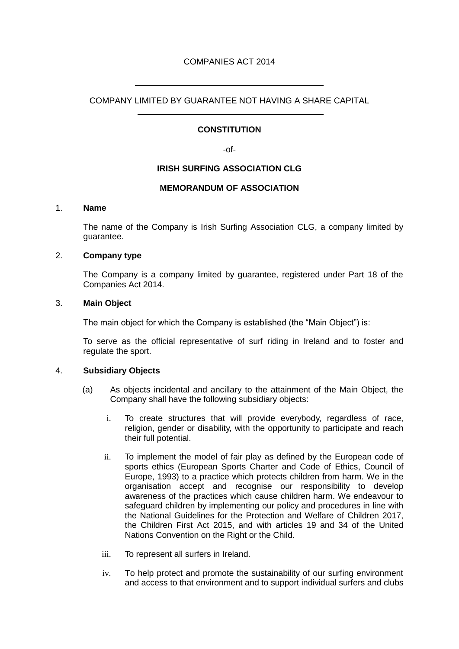# COMPANIES ACT 2014

COMPANY LIMITED BY GUARANTEE NOT HAVING A SHARE CAPITAL

## **CONSTITUTION**

-of-

# **IRISH SURFING ASSOCIATION CLG**

### **MEMORANDUM OF ASSOCIATION**

### 1. **Name**

The name of the Company is Irish Surfing Association CLG, a company limited by guarantee.

### 2. **Company type**

 $\overline{a}$ 

 $\overline{a}$ 

The Company is a company limited by guarantee, registered under Part 18 of the Companies Act 2014.

### 3. **Main Object**

The main object for which the Company is established (the "Main Object") is:

To serve as the official representative of surf riding in Ireland and to foster and regulate the sport.

### 4. **Subsidiary Objects**

- (a) As objects incidental and ancillary to the attainment of the Main Object, the Company shall have the following subsidiary objects:
	- i. To create structures that will provide everybody, regardless of race, religion, gender or disability, with the opportunity to participate and reach their full potential.
	- ii. To implement the model of fair play as defined by the European code of sports ethics (European Sports Charter and Code of Ethics, Council of Europe, 1993) to a practice which protects children from harm. We in the organisation accept and recognise our responsibility to develop awareness of the practices which cause children harm. We endeavour to safeguard children by implementing our policy and procedures in line with the National Guidelines for the Protection and Welfare of Children 2017, the Children First Act 2015, and with articles 19 and 34 of the United Nations Convention on the Right or the Child.
	- iii. To represent all surfers in Ireland.
	- iv. To help protect and promote the sustainability of our surfing environment and access to that environment and to support individual surfers and clubs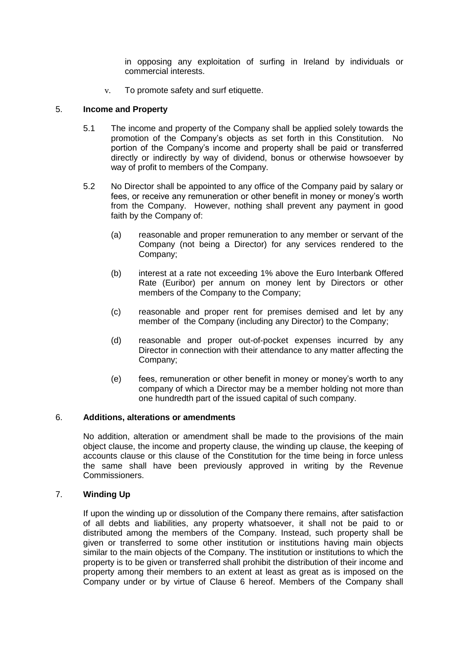in opposing any exploitation of surfing in Ireland by individuals or commercial interests.

v. To promote safety and surf etiquette.

### 5. **Income and Property**

- 5.1 The income and property of the Company shall be applied solely towards the promotion of the Company's objects as set forth in this Constitution. No portion of the Company's income and property shall be paid or transferred directly or indirectly by way of dividend, bonus or otherwise howsoever by way of profit to members of the Company.
- 5.2 No Director shall be appointed to any office of the Company paid by salary or fees, or receive any remuneration or other benefit in money or money's worth from the Company. However, nothing shall prevent any payment in good faith by the Company of:
	- (a) reasonable and proper remuneration to any member or servant of the Company (not being a Director) for any services rendered to the Company;
	- (b) interest at a rate not exceeding 1% above the Euro Interbank Offered Rate (Euribor) per annum on money lent by Directors or other members of the Company to the Company;
	- (c) reasonable and proper rent for premises demised and let by any member of the Company (including any Director) to the Company;
	- (d) reasonable and proper out-of-pocket expenses incurred by any Director in connection with their attendance to any matter affecting the Company;
	- (e) fees, remuneration or other benefit in money or money's worth to any company of which a Director may be a member holding not more than one hundredth part of the issued capital of such company.

### 6. **Additions, alterations or amendments**

No addition, alteration or amendment shall be made to the provisions of the main object clause, the income and property clause, the winding up clause, the keeping of accounts clause or this clause of the Constitution for the time being in force unless the same shall have been previously approved in writing by the Revenue Commissioners.

### 7. **Winding Up**

If upon the winding up or dissolution of the Company there remains, after satisfaction of all debts and liabilities, any property whatsoever, it shall not be paid to or distributed among the members of the Company. Instead, such property shall be given or transferred to some other institution or institutions having main objects similar to the main objects of the Company. The institution or institutions to which the property is to be given or transferred shall prohibit the distribution of their income and property among their members to an extent at least as great as is imposed on the Company under or by virtue of Clause 6 hereof. Members of the Company shall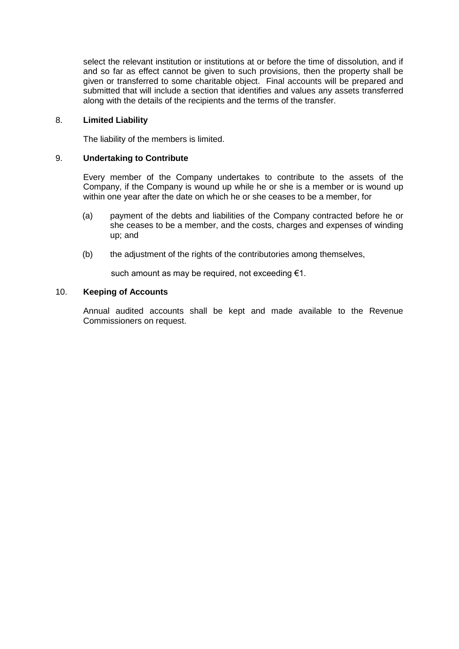select the relevant institution or institutions at or before the time of dissolution, and if and so far as effect cannot be given to such provisions, then the property shall be given or transferred to some charitable object. Final accounts will be prepared and submitted that will include a section that identifies and values any assets transferred along with the details of the recipients and the terms of the transfer.

## 8. **Limited Liability**

The liability of the members is limited.

### 9. **Undertaking to Contribute**

Every member of the Company undertakes to contribute to the assets of the Company, if the Company is wound up while he or she is a member or is wound up within one year after the date on which he or she ceases to be a member, for

- (a) payment of the debts and liabilities of the Company contracted before he or she ceases to be a member, and the costs, charges and expenses of winding up; and
- (b) the adjustment of the rights of the contributories among themselves,

such amount as may be required, not exceeding  $\epsilon$ 1.

### 10. **Keeping of Accounts**

Annual audited accounts shall be kept and made available to the Revenue Commissioners on request.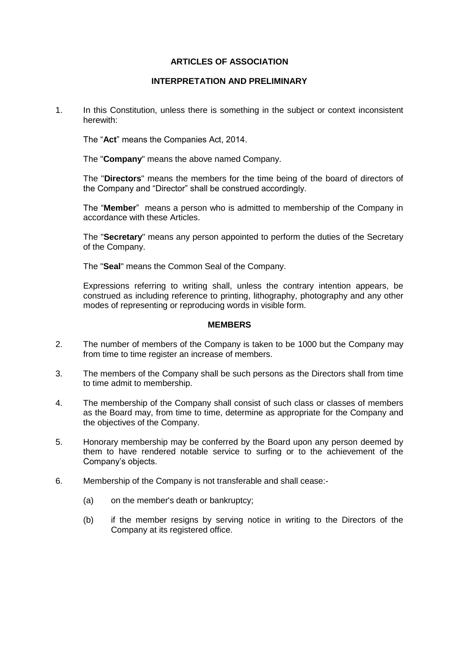# **ARTICLES OF ASSOCIATION**

## **INTERPRETATION AND PRELIMINARY**

1. In this Constitution, unless there is something in the subject or context inconsistent herewith:

The "**Act**" means the Companies Act, 2014.

The "**Company**" means the above named Company.

The "**Directors**" means the members for the time being of the board of directors of the Company and "Director" shall be construed accordingly.

The "**Member**" means a person who is admitted to membership of the Company in accordance with these Articles.

The "**Secretary**" means any person appointed to perform the duties of the Secretary of the Company.

The "**Seal**" means the Common Seal of the Company.

Expressions referring to writing shall, unless the contrary intention appears, be construed as including reference to printing, lithography, photography and any other modes of representing or reproducing words in visible form.

### **MEMBERS**

- 2. The number of members of the Company is taken to be 1000 but the Company may from time to time register an increase of members.
- 3. The members of the Company shall be such persons as the Directors shall from time to time admit to membership.
- 4. The membership of the Company shall consist of such class or classes of members as the Board may, from time to time, determine as appropriate for the Company and the objectives of the Company.
- 5. Honorary membership may be conferred by the Board upon any person deemed by them to have rendered notable service to surfing or to the achievement of the Company's objects.
- 6. Membership of the Company is not transferable and shall cease:-
	- (a) on the member's death or bankruptcy;
	- (b) if the member resigns by serving notice in writing to the Directors of the Company at its registered office.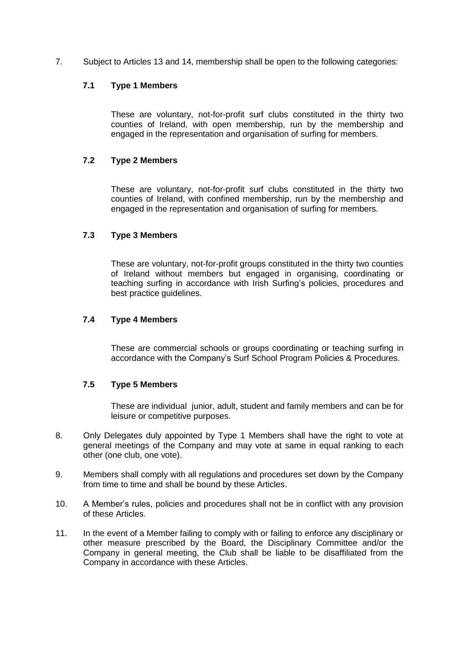7. Subject to Articles 13 and 14, membership shall be open to the following categories:

# **7.1 Type 1 Members**

These are voluntary, not-for-profit surf clubs constituted in the thirty two counties of Ireland, with open membership, run by the membership and engaged in the representation and organisation of surfing for members.

# **7.2 Type 2 Members**

These are voluntary, not-for-profit surf clubs constituted in the thirty two counties of Ireland, with confined membership, run by the membership and engaged in the representation and organisation of surfing for members.

# **7.3 Type 3 Members**

These are voluntary, not-for-profit groups constituted in the thirty two counties of Ireland without members but engaged in organising, coordinating or teaching surfing in accordance with Irish Surfing's policies, procedures and best practice guidelines.

# **7.4 Type 4 Members**

These are commercial schools or groups coordinating or teaching surfing in accordance with the Company's Surf School Program Policies & Procedures.

# **7.5 Type 5 Members**

These are individual junior, adult, student and family members and can be for leisure or competitive purposes.

- 8. Only Delegates duly appointed by Type 1 Members shall have the right to vote at general meetings of the Company and may vote at same in equal ranking to each other (one club, one vote).
- 9. Members shall comply with all regulations and procedures set down by the Company from time to time and shall be bound by these Articles.
- 10. A Member's rules, policies and procedures shall not be in conflict with any provision of these Articles.
- 11. In the event of a Member failing to comply with or failing to enforce any disciplinary or other measure prescribed by the Board, the Disciplinary Committee and/or the Company in general meeting, the Club shall be liable to be disaffiliated from the Company in accordance with these Articles.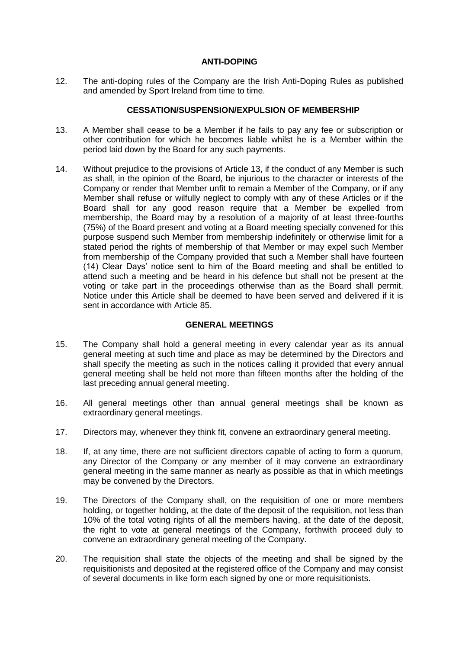## **ANTI-DOPING**

12. The anti-doping rules of the Company are the Irish Anti-Doping Rules as published and amended by Sport Ireland from time to time.

### **CESSATION/SUSPENSION/EXPULSION OF MEMBERSHIP**

- 13. A Member shall cease to be a Member if he fails to pay any fee or subscription or other contribution for which he becomes liable whilst he is a Member within the period laid down by the Board for any such payments.
- 14. Without prejudice to the provisions of Article 13, if the conduct of any Member is such as shall, in the opinion of the Board, be injurious to the character or interests of the Company or render that Member unfit to remain a Member of the Company, or if any Member shall refuse or wilfully neglect to comply with any of these Articles or if the Board shall for any good reason require that a Member be expelled from membership, the Board may by a resolution of a majority of at least three-fourths (75%) of the Board present and voting at a Board meeting specially convened for this purpose suspend such Member from membership indefinitely or otherwise limit for a stated period the rights of membership of that Member or may expel such Member from membership of the Company provided that such a Member shall have fourteen (14) Clear Days' notice sent to him of the Board meeting and shall be entitled to attend such a meeting and be heard in his defence but shall not be present at the voting or take part in the proceedings otherwise than as the Board shall permit. Notice under this Article shall be deemed to have been served and delivered if it is sent in accordance with Article 85.

# **GENERAL MEETINGS**

- 15. The Company shall hold a general meeting in every calendar year as its annual general meeting at such time and place as may be determined by the Directors and shall specify the meeting as such in the notices calling it provided that every annual general meeting shall be held not more than fifteen months after the holding of the last preceding annual general meeting.
- 16. All general meetings other than annual general meetings shall be known as extraordinary general meetings.
- 17. Directors may, whenever they think fit, convene an extraordinary general meeting.
- 18. If, at any time, there are not sufficient directors capable of acting to form a quorum, any Director of the Company or any member of it may convene an extraordinary general meeting in the same manner as nearly as possible as that in which meetings may be convened by the Directors.
- 19. The Directors of the Company shall, on the requisition of one or more members holding, or together holding, at the date of the deposit of the requisition, not less than 10% of the total voting rights of all the members having, at the date of the deposit, the right to vote at general meetings of the Company, forthwith proceed duly to convene an extraordinary general meeting of the Company.
- 20. The requisition shall state the objects of the meeting and shall be signed by the requisitionists and deposited at the registered office of the Company and may consist of several documents in like form each signed by one or more requisitionists.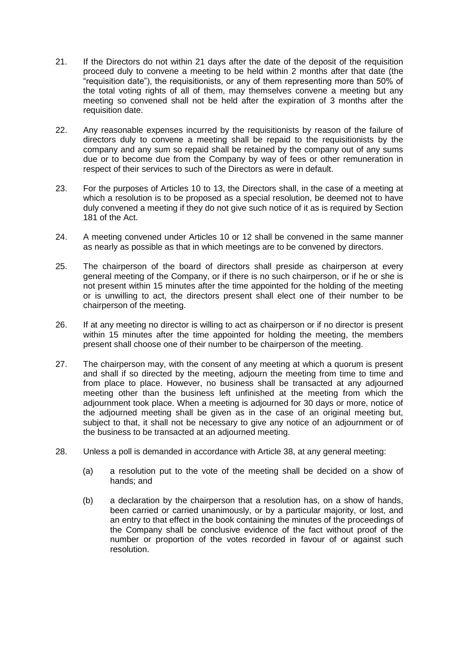- 21. If the Directors do not within 21 days after the date of the deposit of the requisition proceed duly to convene a meeting to be held within 2 months after that date (the "requisition date"), the requisitionists, or any of them representing more than 50% of the total voting rights of all of them, may themselves convene a meeting but any meeting so convened shall not be held after the expiration of 3 months after the requisition date.
- 22. Any reasonable expenses incurred by the requisitionists by reason of the failure of directors duly to convene a meeting shall be repaid to the requisitionists by the company and any sum so repaid shall be retained by the company out of any sums due or to become due from the Company by way of fees or other remuneration in respect of their services to such of the Directors as were in default.
- 23. For the purposes of Articles 10 to 13, the Directors shall, in the case of a meeting at which a resolution is to be proposed as a special resolution, be deemed not to have duly convened a meeting if they do not give such notice of it as is required by Section 181 of the Act.
- 24. A meeting convened under Articles 10 or 12 shall be convened in the same manner as nearly as possible as that in which meetings are to be convened by directors.
- 25. The chairperson of the board of directors shall preside as chairperson at every general meeting of the Company, or if there is no such chairperson, or if he or she is not present within 15 minutes after the time appointed for the holding of the meeting or is unwilling to act, the directors present shall elect one of their number to be chairperson of the meeting.
- 26. If at any meeting no director is willing to act as chairperson or if no director is present within 15 minutes after the time appointed for holding the meeting, the members present shall choose one of their number to be chairperson of the meeting.
- 27. The chairperson may, with the consent of any meeting at which a quorum is present and shall if so directed by the meeting, adjourn the meeting from time to time and from place to place. However, no business shall be transacted at any adjourned meeting other than the business left unfinished at the meeting from which the adjournment took place. When a meeting is adjourned for 30 days or more, notice of the adjourned meeting shall be given as in the case of an original meeting but, subject to that, it shall not be necessary to give any notice of an adjournment or of the business to be transacted at an adjourned meeting.
- 28. Unless a poll is demanded in accordance with Article 38, at any general meeting:
	- (a) a resolution put to the vote of the meeting shall be decided on a show of hands; and
	- (b) a declaration by the chairperson that a resolution has, on a show of hands, been carried or carried unanimously, or by a particular majority, or lost, and an entry to that effect in the book containing the minutes of the proceedings of the Company shall be conclusive evidence of the fact without proof of the number or proportion of the votes recorded in favour of or against such resolution.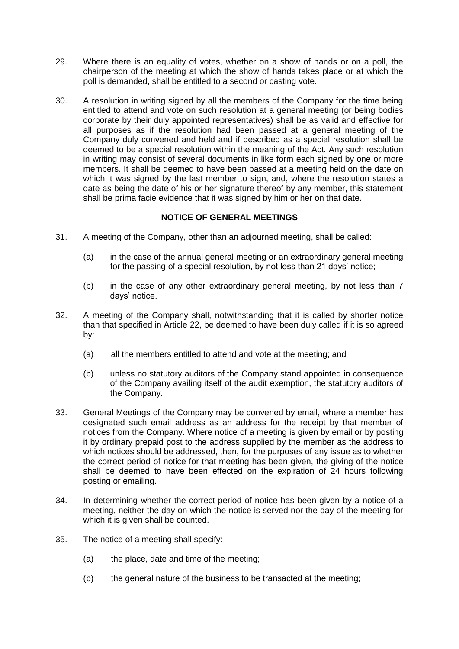- 29. Where there is an equality of votes, whether on a show of hands or on a poll, the chairperson of the meeting at which the show of hands takes place or at which the poll is demanded, shall be entitled to a second or casting vote.
- 30. A resolution in writing signed by all the members of the Company for the time being entitled to attend and vote on such resolution at a general meeting (or being bodies corporate by their duly appointed representatives) shall be as valid and effective for all purposes as if the resolution had been passed at a general meeting of the Company duly convened and held and if described as a special resolution shall be deemed to be a special resolution within the meaning of the Act. Any such resolution in writing may consist of several documents in like form each signed by one or more members. It shall be deemed to have been passed at a meeting held on the date on which it was signed by the last member to sign, and, where the resolution states a date as being the date of his or her signature thereof by any member, this statement shall be prima facie evidence that it was signed by him or her on that date.

# **NOTICE OF GENERAL MEETINGS**

- 31. A meeting of the Company, other than an adjourned meeting, shall be called:
	- (a) in the case of the annual general meeting or an extraordinary general meeting for the passing of a special resolution, by not less than 21 days' notice;
	- (b) in the case of any other extraordinary general meeting, by not less than 7 days' notice.
- 32. A meeting of the Company shall, notwithstanding that it is called by shorter notice than that specified in Article 22, be deemed to have been duly called if it is so agreed by:
	- (a) all the members entitled to attend and vote at the meeting; and
	- (b) unless no statutory auditors of the Company stand appointed in consequence of the Company availing itself of the audit exemption, the statutory auditors of the Company.
- 33. General Meetings of the Company may be convened by email, where a member has designated such email address as an address for the receipt by that member of notices from the Company. Where notice of a meeting is given by email or by posting it by ordinary prepaid post to the address supplied by the member as the address to which notices should be addressed, then, for the purposes of any issue as to whether the correct period of notice for that meeting has been given, the giving of the notice shall be deemed to have been effected on the expiration of 24 hours following posting or emailing.
- 34. In determining whether the correct period of notice has been given by a notice of a meeting, neither the day on which the notice is served nor the day of the meeting for which it is given shall be counted.
- 35. The notice of a meeting shall specify:
	- (a) the place, date and time of the meeting;
	- (b) the general nature of the business to be transacted at the meeting;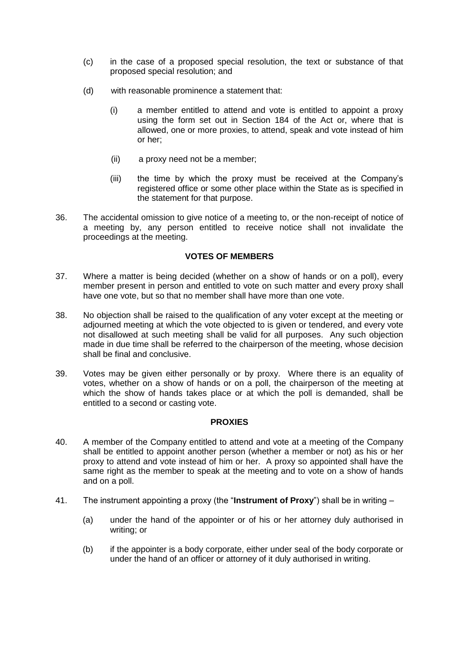- (c) in the case of a proposed special resolution, the text or substance of that proposed special resolution; and
- (d) with reasonable prominence a statement that:
	- (i) a member entitled to attend and vote is entitled to appoint a proxy using the form set out in Section 184 of the Act or, where that is allowed, one or more proxies, to attend, speak and vote instead of him or her;
	- (ii) a proxy need not be a member;
	- (iii) the time by which the proxy must be received at the Company's registered office or some other place within the State as is specified in the statement for that purpose.
- 36. The accidental omission to give notice of a meeting to, or the non-receipt of notice of a meeting by, any person entitled to receive notice shall not invalidate the proceedings at the meeting.

### **VOTES OF MEMBERS**

- 37. Where a matter is being decided (whether on a show of hands or on a poll), every member present in person and entitled to vote on such matter and every proxy shall have one vote, but so that no member shall have more than one vote.
- 38. No objection shall be raised to the qualification of any voter except at the meeting or adjourned meeting at which the vote objected to is given or tendered, and every vote not disallowed at such meeting shall be valid for all purposes. Any such objection made in due time shall be referred to the chairperson of the meeting, whose decision shall be final and conclusive.
- 39. Votes may be given either personally or by proxy. Where there is an equality of votes, whether on a show of hands or on a poll, the chairperson of the meeting at which the show of hands takes place or at which the poll is demanded, shall be entitled to a second or casting vote.

### **PROXIES**

- 40. A member of the Company entitled to attend and vote at a meeting of the Company shall be entitled to appoint another person (whether a member or not) as his or her proxy to attend and vote instead of him or her. A proxy so appointed shall have the same right as the member to speak at the meeting and to vote on a show of hands and on a poll.
- 41. The instrument appointing a proxy (the "**Instrument of Proxy**") shall be in writing
	- (a) under the hand of the appointer or of his or her attorney duly authorised in writing; or
	- (b) if the appointer is a body corporate, either under seal of the body corporate or under the hand of an officer or attorney of it duly authorised in writing.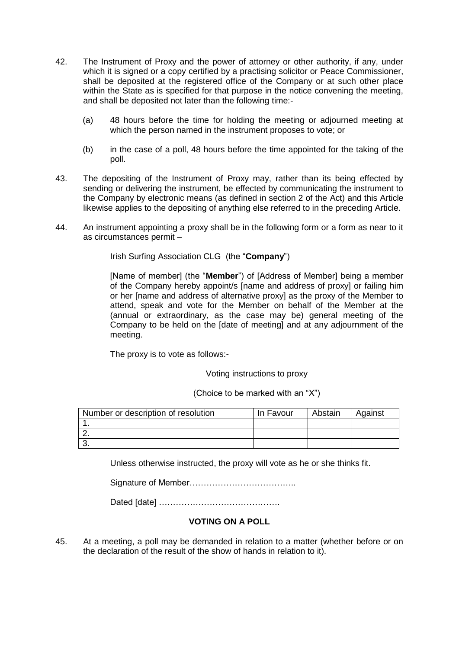- 42. The Instrument of Proxy and the power of attorney or other authority, if any, under which it is signed or a copy certified by a practising solicitor or Peace Commissioner, shall be deposited at the registered office of the Company or at such other place within the State as is specified for that purpose in the notice convening the meeting. and shall be deposited not later than the following time:-
	- (a) 48 hours before the time for holding the meeting or adjourned meeting at which the person named in the instrument proposes to vote; or
	- (b) in the case of a poll, 48 hours before the time appointed for the taking of the poll.
- 43. The depositing of the Instrument of Proxy may, rather than its being effected by sending or delivering the instrument, be effected by communicating the instrument to the Company by electronic means (as defined in section 2 of the Act) and this Article likewise applies to the depositing of anything else referred to in the preceding Article.
- 44. An instrument appointing a proxy shall be in the following form or a form as near to it as circumstances permit –

Irish Surfing Association CLG (the "**Company**")

[Name of member] (the "**Member**") of [Address of Member] being a member of the Company hereby appoint/s [name and address of proxy] or failing him or her [name and address of alternative proxy] as the proxy of the Member to attend, speak and vote for the Member on behalf of the Member at the (annual or extraordinary, as the case may be) general meeting of the Company to be held on the [date of meeting] and at any adjournment of the meeting.

The proxy is to vote as follows:-

Voting instructions to proxy

(Choice to be marked with an "X")

| Number or description of resolution | In Favour | Abstain | Against |
|-------------------------------------|-----------|---------|---------|
|                                     |           |         |         |
|                                     |           |         |         |
|                                     |           |         |         |

Unless otherwise instructed, the proxy will vote as he or she thinks fit.

Signature of Member………………………………..

Dated [date] …………………………………….

# **VOTING ON A POLL**

45. At a meeting, a poll may be demanded in relation to a matter (whether before or on the declaration of the result of the show of hands in relation to it).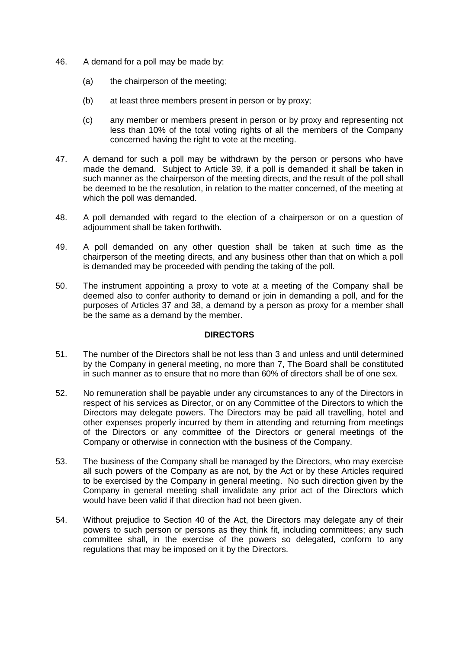- 46. A demand for a poll may be made by:
	- (a) the chairperson of the meeting;
	- (b) at least three members present in person or by proxy;
	- (c) any member or members present in person or by proxy and representing not less than 10% of the total voting rights of all the members of the Company concerned having the right to vote at the meeting.
- 47. A demand for such a poll may be withdrawn by the person or persons who have made the demand. Subject to Article 39, if a poll is demanded it shall be taken in such manner as the chairperson of the meeting directs, and the result of the poll shall be deemed to be the resolution, in relation to the matter concerned, of the meeting at which the poll was demanded.
- 48. A poll demanded with regard to the election of a chairperson or on a question of adjournment shall be taken forthwith.
- 49. A poll demanded on any other question shall be taken at such time as the chairperson of the meeting directs, and any business other than that on which a poll is demanded may be proceeded with pending the taking of the poll.
- 50. The instrument appointing a proxy to vote at a meeting of the Company shall be deemed also to confer authority to demand or join in demanding a poll, and for the purposes of Articles 37 and 38, a demand by a person as proxy for a member shall be the same as a demand by the member.

### **DIRECTORS**

- 51. The number of the Directors shall be not less than 3 and unless and until determined by the Company in general meeting, no more than 7, The Board shall be constituted in such manner as to ensure that no more than 60% of directors shall be of one sex.
- 52. No remuneration shall be payable under any circumstances to any of the Directors in respect of his services as Director, or on any Committee of the Directors to which the Directors may delegate powers. The Directors may be paid all travelling, hotel and other expenses properly incurred by them in attending and returning from meetings of the Directors or any committee of the Directors or general meetings of the Company or otherwise in connection with the business of the Company.
- 53. The business of the Company shall be managed by the Directors, who may exercise all such powers of the Company as are not, by the Act or by these Articles required to be exercised by the Company in general meeting. No such direction given by the Company in general meeting shall invalidate any prior act of the Directors which would have been valid if that direction had not been given.
- 54. Without prejudice to Section 40 of the Act, the Directors may delegate any of their powers to such person or persons as they think fit, including committees; any such committee shall, in the exercise of the powers so delegated, conform to any regulations that may be imposed on it by the Directors.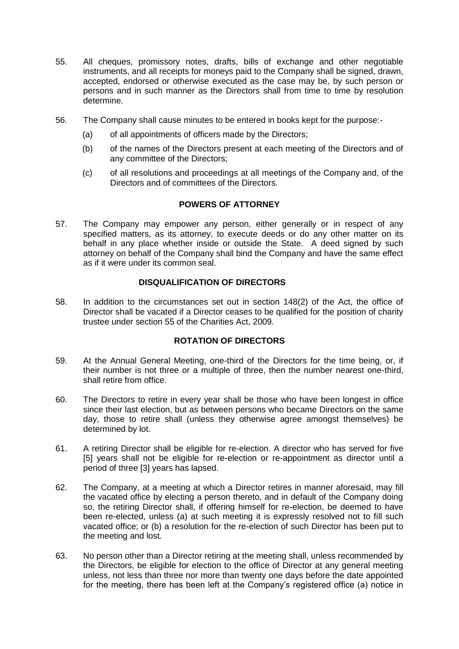- 55. All cheques, promissory notes, drafts, bills of exchange and other negotiable instruments, and all receipts for moneys paid to the Company shall be signed, drawn, accepted, endorsed or otherwise executed as the case may be, by such person or persons and in such manner as the Directors shall from time to time by resolution determine.
- 56. The Company shall cause minutes to be entered in books kept for the purpose:-
	- (a) of all appointments of officers made by the Directors;
	- (b) of the names of the Directors present at each meeting of the Directors and of any committee of the Directors;
	- (c) of all resolutions and proceedings at all meetings of the Company and, of the Directors and of committees of the Directors.

# **POWERS OF ATTORNEY**

57. The Company may empower any person, either generally or in respect of any specified matters, as its attorney, to execute deeds or do any other matter on its behalf in any place whether inside or outside the State. A deed signed by such attorney on behalf of the Company shall bind the Company and have the same effect as if it were under its common seal.

# **DISQUALIFICATION OF DIRECTORS**

58. In addition to the circumstances set out in section 148(2) of the Act, the office of Director shall be vacated if a Director ceases to be qualified for the position of charity trustee under section 55 of the Charities Act, 2009.

# **ROTATION OF DIRECTORS**

- 59. At the Annual General Meeting, one-third of the Directors for the time being, or, if their number is not three or a multiple of three, then the number nearest one-third, shall retire from office.
- 60. The Directors to retire in every year shall be those who have been longest in office since their last election, but as between persons who became Directors on the same day, those to retire shall (unless they otherwise agree amongst themselves) be determined by lot.
- 61. A retiring Director shall be eligible for re-election. A director who has served for five [5] years shall not be eligible for re-election or re-appointment as director until a period of three [3] years has lapsed.
- 62. The Company, at a meeting at which a Director retires in manner aforesaid, may fill the vacated office by electing a person thereto, and in default of the Company doing so, the retiring Director shall, if offering himself for re-election, be deemed to have been re-elected, unless (a) at such meeting it is expressly resolved not to fill such vacated office; or (b) a resolution for the re-election of such Director has been put to the meeting and lost.
- 63. No person other than a Director retiring at the meeting shall, unless recommended by the Directors, be eligible for election to the office of Director at any general meeting unless, not less than three nor more than twenty one days before the date appointed for the meeting, there has been left at the Company's registered office (a) notice in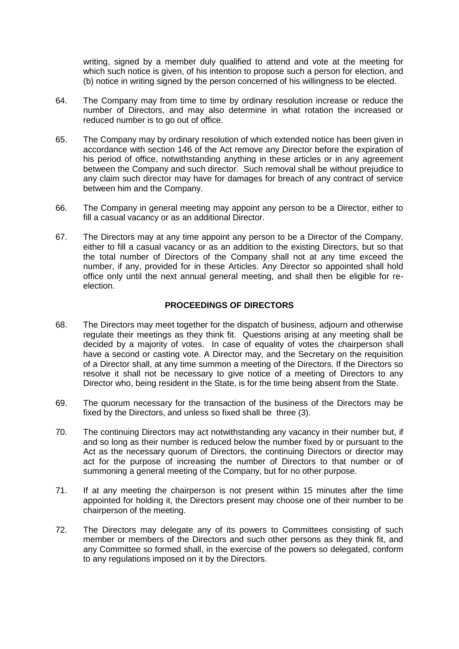writing, signed by a member duly qualified to attend and vote at the meeting for which such notice is given, of his intention to propose such a person for election, and (b) notice in writing signed by the person concerned of his willingness to be elected.

- 64. The Company may from time to time by ordinary resolution increase or reduce the number of Directors, and may also determine in what rotation the increased or reduced number is to go out of office.
- 65. The Company may by ordinary resolution of which extended notice has been given in accordance with section 146 of the Act remove any Director before the expiration of his period of office, notwithstanding anything in these articles or in any agreement between the Company and such director. Such removal shall be without prejudice to any claim such director may have for damages for breach of any contract of service between him and the Company.
- 66. The Company in general meeting may appoint any person to be a Director, either to fill a casual vacancy or as an additional Director.
- 67. The Directors may at any time appoint any person to be a Director of the Company, either to fill a casual vacancy or as an addition to the existing Directors, but so that the total number of Directors of the Company shall not at any time exceed the number, if any, provided for in these Articles. Any Director so appointed shall hold office only until the next annual general meeting, and shall then be eligible for reelection.

### **PROCEEDINGS OF DIRECTORS**

- 68. The Directors may meet together for the dispatch of business, adjourn and otherwise regulate their meetings as they think fit. Questions arising at any meeting shall be decided by a majority of votes. In case of equality of votes the chairperson shall have a second or casting vote. A Director may, and the Secretary on the requisition of a Director shall, at any time summon a meeting of the Directors. If the Directors so resolve it shall not be necessary to give notice of a meeting of Directors to any Director who, being resident in the State, is for the time being absent from the State.
- 69. The quorum necessary for the transaction of the business of the Directors may be fixed by the Directors, and unless so fixed shall be three (3).
- 70. The continuing Directors may act notwithstanding any vacancy in their number but, if and so long as their number is reduced below the number fixed by or pursuant to the Act as the necessary quorum of Directors, the continuing Directors or director may act for the purpose of increasing the number of Directors to that number or of summoning a general meeting of the Company, but for no other purpose.
- 71. If at any meeting the chairperson is not present within 15 minutes after the time appointed for holding it, the Directors present may choose one of their number to be chairperson of the meeting.
- 72. The Directors may delegate any of its powers to Committees consisting of such member or members of the Directors and such other persons as they think fit, and any Committee so formed shall, in the exercise of the powers so delegated, conform to any regulations imposed on it by the Directors.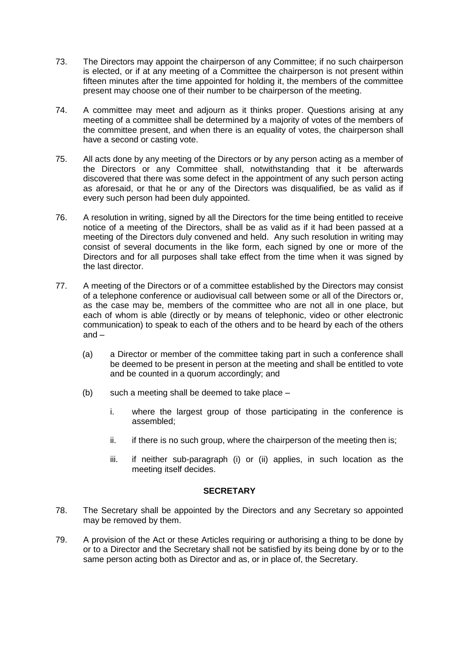- 73. The Directors may appoint the chairperson of any Committee; if no such chairperson is elected, or if at any meeting of a Committee the chairperson is not present within fifteen minutes after the time appointed for holding it, the members of the committee present may choose one of their number to be chairperson of the meeting.
- 74. A committee may meet and adjourn as it thinks proper. Questions arising at any meeting of a committee shall be determined by a majority of votes of the members of the committee present, and when there is an equality of votes, the chairperson shall have a second or casting vote.
- 75. All acts done by any meeting of the Directors or by any person acting as a member of the Directors or any Committee shall, notwithstanding that it be afterwards discovered that there was some defect in the appointment of any such person acting as aforesaid, or that he or any of the Directors was disqualified, be as valid as if every such person had been duly appointed.
- 76. A resolution in writing, signed by all the Directors for the time being entitled to receive notice of a meeting of the Directors, shall be as valid as if it had been passed at a meeting of the Directors duly convened and held. Any such resolution in writing may consist of several documents in the like form, each signed by one or more of the Directors and for all purposes shall take effect from the time when it was signed by the last director.
- 77. A meeting of the Directors or of a committee established by the Directors may consist of a telephone conference or audiovisual call between some or all of the Directors or, as the case may be, members of the committee who are not all in one place, but each of whom is able (directly or by means of telephonic, video or other electronic communication) to speak to each of the others and to be heard by each of the others and –
	- (a) a Director or member of the committee taking part in such a conference shall be deemed to be present in person at the meeting and shall be entitled to vote and be counted in a quorum accordingly; and
	- (b) such a meeting shall be deemed to take place
		- i. where the largest group of those participating in the conference is assembled;
		- ii. if there is no such group, where the chairperson of the meeting then is:
		- iii. if neither sub-paragraph (i) or (ii) applies, in such location as the meeting itself decides.

### **SECRETARY**

- 78. The Secretary shall be appointed by the Directors and any Secretary so appointed may be removed by them.
- 79. A provision of the Act or these Articles requiring or authorising a thing to be done by or to a Director and the Secretary shall not be satisfied by its being done by or to the same person acting both as Director and as, or in place of, the Secretary.